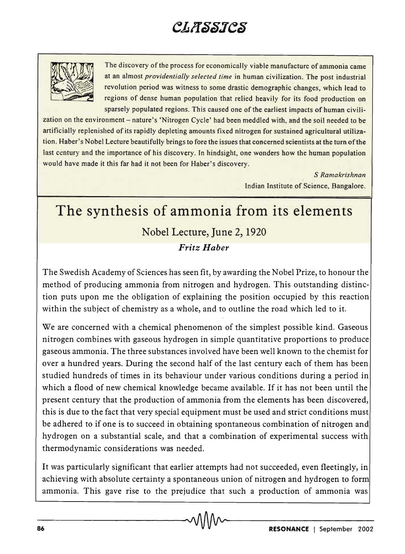

The discovery of the process for economically viable manufacture of ammonia came at an almost *providentially selected time* in human civilization. The post industrial revolution period was witness to some drastic demographic changes, which lead to regions of dense human population that relied heavily for its food production on sparsely populated regions. This caused one of the earliest impacts of human civili-

zation on the environment - nature's 'Nitrogen Cycle' had been meddled with, and the soil needed to be artificially replenished of its rapidly depleting amounts fixed nitrogen for sustained agricultural utilization. Haber's Nobel Lecture beautifully brings to fore the issues that concerned scientists at the turn of the last century and the importance of his discovery. In hindsight, one wonders how the human population would have made it this far had it not been for Haber's discovery.

> S *Ramakrishnan*  Indian Institute of Science, Bangalore.

### The synthesis of ammonia from its elements Nobel Lecture, June 2, 1920 *Fritz Haber*

The Swedish Academy of Sciences has seen fit, by awarding the Nobel Prize, to honour the method of producing ammonia from nitrogen and hydrogen. This outstanding distinction puts upon me the obligation of explaining the position occupied by this reaction within the subject of chemistry as a whole, and to outline the road which led to it.

We are concerned with a chemical phenomenon of the simplest possible kind. Gaseous nitrogen combines with gaseous hydrogen in simple quantitative proportions to produce gaseous ammonia. The three substances involved have been well known to the chemist for over a hundred years. During the second half of the last century each of them has been studied hundreds of times in its behaviour under various conditions during a period in which a flood of new chemical knowledge became available. If it has not been until the present century that the production of ammonia from the elements has been discovered, this is due to the fact that very special equipment must be used and strict conditions must be adhered to if one is to succeed in obtaining spontaneous combination of nitrogen and hydrogen on a substantial scale, and that a combination of experimental success with thermodynamic considerations was needed.

It was particularly significant that earlier attempts had not succeeded, even fleetingly, in achieving with absolute certainty a spontaneous union of nitrogen and hydrogen to form ammonia. This gave rise to the prejudice that such a production of ammonia was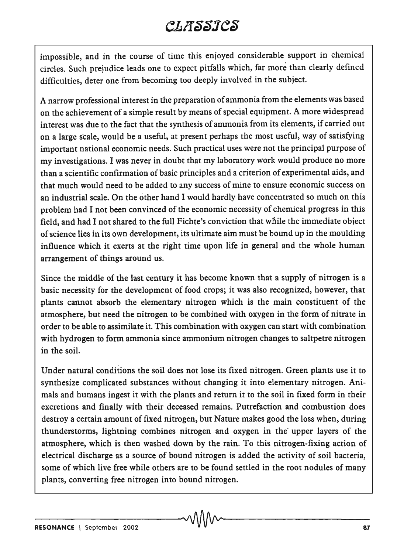impossible, and in the course of time this enjoyed considerable support in chemical circles. Such prejudice leads one to expect pitfalls which, far more than clearly defined difficulties, deter one from becoming too deeply involved in the subject.

A narrow professional interest in the preparation of ammonia from the elements was based on the achievement of a simple result by means of special equipment. A more widespread interest was due to the fact that the synthesis of ammonia from its elements, if carried out on a large scale, would be a useful, at present perhaps the most useful, way of satisfying important national economic needs. Such practical uses were not the principal purpose of my investigations. I was never in doubt that my laboratory work would produce no more than a scientific confirmation of basic principles and a criterion of experimental aids, and that much would need to be added to any success of mine to ensure economic success on an industrial scale. On the other hand I would hardly have concentrated so much on this problem had I not been convinced of the economic necessity of chemical progress in this field, and had I not shared to the full Fichte's conviction that while the immediate object of science lies in its own development, its ultimate aim must be bound up in the moulding influence which it exerts at the right time upon life in general and the whole human arrangement of things around us.

Since the middle of the last century it has become known that a supply of nitrogen is a basic necessity for the development of food crops; it was also recognized, however, that plants cannot absorb the elementary nitrogen which is the main constituent of the atmosphere, but need the nitrogen to be combined with oxygen in the form of nitrate in order to be able to assimilate it. This combination with oxygen can start with combination with hydrogen to form ammonia since ammonium nitrogen changes to saltpetre nitrogen in the soil.

Under natural conditions the soil does not lose its fixed nitrogen. Green plants use it to synthesize complicated substances without changing it into elementary nitrogen. Animals and humans ingest it with the plants and return it to the soil in fixed form in their excretions and finally with their deceased remains. Putrefaction and combustion does destroy a certain amount of fixed nitrogen, but Nature makes good the loss when, during thunderstorms, lightning combines nitrogen and oxygen in the- upper layers of the atmosphere, which is then washed down by the rain. To this nitrogen-fixing action of electrical discharge as a source of bound nitrogen is added the activity of soil bacteria, some of which live free while others are to be found settled in the root nodules of many plants, converting free nitrogen into bound nitrogen.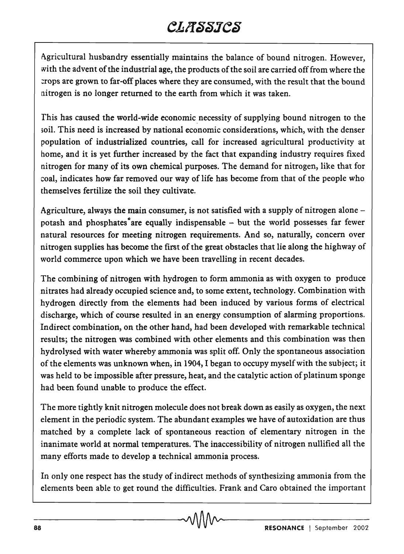Agricultural husbandry essentially maintains the balance of bound nitrogen. However, with the advent of the industrial age, the products of the soil are carried off from where the ;:rops are grown to far-off places where they are consumed, with the result that the bound nitrogen is no longer returned to the earth from which it was taken.

This has caused the world-wide economic. necessity of supplying bound nitrogen to the soil. This need is increased by national economic considerations, which, with the denser population of industrialized countries, call for increased agricultural productivity at home, and it is yet further increased by the fact that expanding industry requires fixed nitrogen for many of its own chemical purposes. The demand for nitrogen, like that for coal, indicates how far removed our way of life has become from that of the people who themselves fertilize the soil they cultivate.

Agriculture, always the main consumer, is not satisfied with a supply of nitrogen alone  $$ potash and phosphates are equally indispensable  $-$  but the world possesses far fewer natural resources for meeting nitrogen requirements. And so, naturally, concern over nitrogen supplies has become the first of the great obstacles that lie along the highway of world commerce upon which we have been travelling in recent decades.

The combining of nitrogen with hydrogen to form ammonia as with oxygen to produce nitrates had already occupied science and, to some extent, technology. Combination with hydrogen directly from the elements had been induced by various forms of electrical discharge, which of course resulted in an energy consumption of alarming proportions. Indirect combination, on the other hand, had been developed with remarkable technical results; the nitrogen was combined with other elements and this combination was then hydrolysed with water whereby ammonia was split off. Only the spontaneous association of the elements was unknown when, in 1904, I began to occupy myself with the subject; it was held to be impossible after pressure, heat, and the catalytic action of platinum sponge had been found unable to produce the effect.

The more tightly knit nitrogen molecule does not break down as easily as oxygen, the next element in the periodic system. The abundant examples we have of autoxidation are thus matched by a complete lack of spontaneous reaction of elementary nitrogen in the inanimate world at normal temperatures. The inaccessibility of nitrogen nullified all the many efforts made to develop a technical ammonia process.

In only one respect has the study of indirect methods of synthesizing ammonia from the elements been able to get round the difficulties. Frank and Caro obtained the important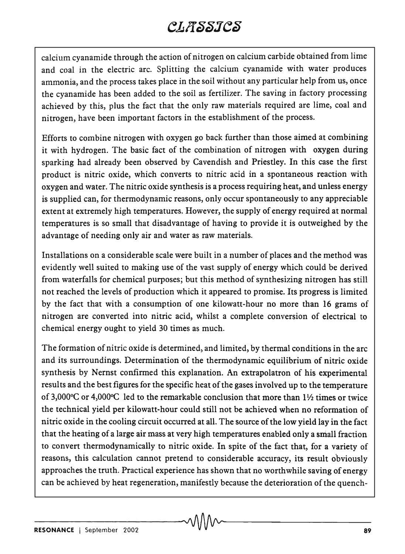calcium cyanamide through the action of nitrogen on calcium carbide obtained from lime and coal in the electric arc. Splitting the calcium cyanamide with water produces ammonia, and the process takes place in the soil without any particular help from us, once the cyanamide has been added to the soil as fertilizer. The saving in factory processing achieved by this, plus the fact that the only raw materials required are lime, coal and nitrogen, have been important factors in the establishment of the process.

Efforts to combine nitrogen with oxygen go back further than those aimed at combining it with hydrogen. The basic fact of the combination of nitrogen with oxygen during sparking had already been observed by Cavendish and Priestley. In this case the first product is nitric oxide, which converts to nitric acid in a spontaneous reaction with oxygen and water. The nitric oxide synthesis is a process requiring heat, and unless energy is supplied can, for thermodynamic reasons, only occur spontaneously to any appreciable extent at extremely high temperatures. However, the supply of energy required at normal temperatures is so small that disadvantage of having to provide it is outweighed by the advantage of needing only air and water as raw materials.

Installations on a considerable scale were built in a number of places and the method was evidently well suited to making use of the vast supply of energy which could be derived from waterfalls for chemical purposes; but this method of synthesizing nitrogen has still not reached the levels of production which it appeared to promise. Its progress is limited by the fact that with a consumption of one kilowatt-hour no more than 16 grams of nitrogen are converted into nitric acid, whilst a complete conversion of electrical to chemical energy ought to yield 30 times as much.

The formation of nitric oxide is determined, and limited, by thermal conditions in the arc and its surroundings. Determination of the thermodynamic equilibrium of nitric oxide synthesis by Nernst confirmed this explanation. An extrapolatron of his experimental results and the best figures for the specific heat of the gases involved up to the temperature of 3,000°C or 4,000°C led to the remarkable conclusion that more than  $1\frac{1}{2}$  times or twice the technical yield per kilowatt-hour could still not be achieved when no reformation of nitric oxide in the cooling circuit occurred at all. The source of the low yield lay in the fact that the heating of a large air mass at very high temperatures enabled only a small fraction to convert thermodynamically to nitric oxide. In spite of the fact that, for a variety of reasons, this calculation cannot pretend to considerable accuracy, its result obviously approaches the truth. Practical experience has shown that no worthwhile saving of energy can be achieved by heat regeneration, manifestly because the deterioration of the quench-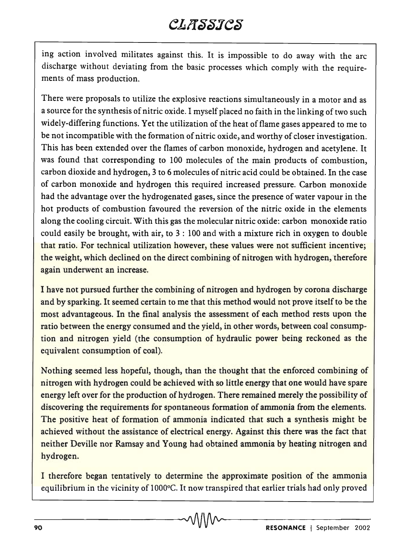ing action involved militates against this. It is impossible to do away with the arc discharge without deviating from the basic processes which comply with the requirements of mass production.

There were proposals to utilize the explosive reactions simultaneously in a motor and as a source for the synthesis of nitric oxide. I myself placed no faith in the linking of two such widely-differing functions. Yet the utilization of the heat of flame gases appeared to me to be not incompatible with the formation of nitric oxide, and worthy of closer investigation. This has been extended over the flames of carbon monoxide, hydrogen and acetylene. It was found that corresponding to 100 molecules of the main products of combustion, carbon dioxide and hydrogen, 3 to 6 molecules of nitric acid could be obtained. In the case of carbon monoxide and hydrogen this required increased pressure. Carbon monoxide had the advantage over the hydrogenated gases, since the presence of water vapour in the hot products of combustion favoured the reversion of the nitric oxide in the elements along the cooling circuit. With this gas the molecular nitric oxide: carbon monoxide ratio could easily be brought, with air, to  $3:100$  and with a mixture rich in oxygen to double that ratio. For technical utilization however, these values were not sufficient incentive; the weight, which declined on the direct combining of nitrogen with hydrogen, therefore again underwent an increase.

I have not pursued further the combining of nitrogen and hydrogen by corona discharge and by sparking. It seemed certain to me that this method would not prove itself to be the most advantageous. In the final analysis the assessment of each method rests upon the ratio between the energy consumed and the yield, in other words, between coal consumption and nitrogen yield (the consumption of hydraulic power being reckoned as the equivalent consumption of coal).

Nothing seemed less hopeful, though, than the thought that the enforced combining of nitrogen with hydrogen could be achieved with so little energy that one would have spare energy left over for the production of hydrogen. There remained merely the possibility of discovering the requirements for spontaneous formation of ammonia from the elements. The positive heat of formation of ammonia indicated that such a synthesis might be achieved without the assistance of electrical energy. Against this there was the fact that neither Deville nor Ramsay and Young had obtained ammonia by heating nitrogen and hydrogen.

I therefore began tentatively to determine the approximate position of the ammonia equilibrium in the vicinity of lOOO°C. It now transpired that earlier trials had only proved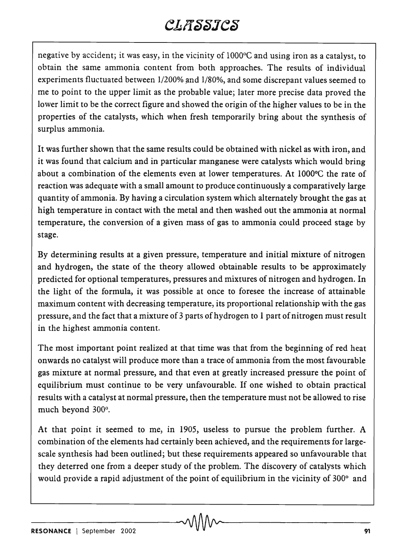negative by accident; it was easy, in the vicinity of 1000°C and using iron as a catalyst, to obtain the same ammonia content from both approaches. The results of individual experiments fluctuated between  $1/200\%$  and  $1/80\%$ , and some discrepant values seemed to me to point to the upper limit as the probable value; later more precise data proved the lower limit to be the correct figure and showed the origin of the higher values to be in the properties gf the catalysts, which when fresh temporarily bring about the synthesis of surplus ammonia.

It was further shown that the same results could be obtained with nickel as with iron, and it was found that calcium and in particular manganese were catalysts which would bring about a combination of the elements even at lower temperatures. At 1000°C the rate of reaction was adequate with a small amount to produce continuously a comparatively large quantity of ammonia. By having a circulation system which alternately brought the gas at high temperature in contact with the metal and then washed out the ammonia at normal temperature, the conversion of a given mass of gas to ammonia could proceed stage by stage.

By determining results at a given pressure, temperature and initial mixture of nitrogen and hydrogen, the state of the theory allowed obtainable results to be approximately predicted for optional temperatures, pressures and mixtures of nitrogen and hydrogen. In the light of the formula, it was possible at once to foresee the increase of attainable maximum content with decreasing temperature, its proportional relationship with the gas pressure, and the fact that a mixture of 3 parts of hydrogen to 1 part of nitrogen must result in the highest ammonia content.

The most important point realized at that time was that from the beginning of red heat onwards no catalyst will produce more than a trace of ammonia from the most favourable gas mixture at normal pressure, and that even at greatly increased pressure the point of equilibrium must continue to be very unfavourable. If one wished to obtain practical results with a catalyst at normal pressure, then the temperature must not be allowed to rise much beyond 300°.

At that point it seemed to me, in 1905, useless to pursue the problem further. A combination of the elements had certainly been achieved, and the requirements for largescale synthesis had been outlined; but these requirements appeared so unfavourable that they deterred one from a deeper study of the problem. The discovery of catalysts which would provide a rapid adjustment of the point of equilibrium in the vicinity of 300° and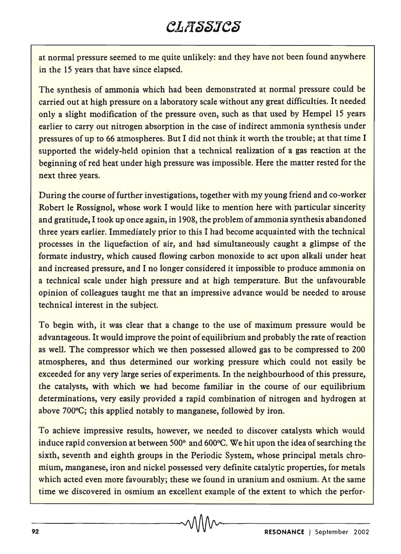at normal pressure seemed to me quite unlikely: and they have not been found anywhere in the IS years that have since elapsed.

The synthesis of ammonia which had been demonstrated at normal pressure could be carried out at high pressure on a laboratory scale without any great difficulties. It needed only a slight modification of the pressure oven, such as that used by Hempel 15 years earlier to carry out nitrogen absorption in the case of indirect ammonia synthesis under pressures of up to 66 atmospheres. But I did not think it worth the trouble; at that time I supported the widely-held opinion that a technical realization of a gas reaction at the beginning of red heat under high pressure was impossible. Here the matter rested for the next three years.

During the course of further investigations, together with my young friend and co-worker Robert Ie Rossignol, whose work I would like to mention here with particular sincerity and gratitude, I took up once again, in 1908, the problem of ammonia synthesis abandoned three years earlier. Immediately prior to this I had become acquainted with the technical processes in the liquefaction of air, and had simultaneously caught a glimpse of the formate industry, which caused flowing carbon monoxide to act upon alkali under heat and increased pressure, and I no longer considered it impossible to produce ammonia on a technical scale under high pressure and at high temperature. But the unfavourable opinion of colleagues taught me that an impressive advance would be needed to arouse technical interest in the subject.

To begin with, it was clear that a change to the use of maximum pressure would be advantageous. It would improve the point of equilibrium and probably the rate of reaction as well. The compressor which we then possessed allowed gas to be compressed to 200 atmospheres, and thus determined our working pressure which could not easily be exceeded for any very large series of experiments. In the neighbourhood of this pressure, the catalysts, with which we had become familiar in the course of our equilibrium determinations, very easily provided a rapid combination of nitrogen and hydrogen at above 700°C; this applied notably to manganese, followed by iron.

To achieve impressive results, however, we needed to discover catalysts which would induce rapid conversion at between 500° and 600°C. We hit upon the idea of searching the sixth, seventh and eighth groups in the Periodic System, whose principal metals chromium, manganese, iron and nickel possessed very definite catalytic properties, for metals which acted even more favourably; these we found in uranium and osmium. At the same time we discovered in osmium an excellent example of the extent to which the perfor-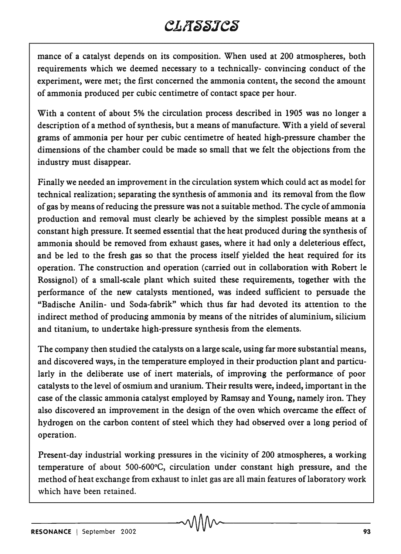mance of a catalyst depends on its composition. When used at 200 atmospheres, both requirements which we deemed necessary to a technically- convincing conduct of the experiment, were met; the first concerned the ammonia content, the second the amount of ammonia produced per cubic centimetre of contact space per hour.

With a content of about 5% the circulation process described in 1905 was no longer a description of a method of synthesis, but a means of manufacture. With a yield of several grams of ammonia per hour per cubic centimetre of heated high-pressure chamber the dimensions of the chamber could be made so small that we felt the objections from the industry must disappear.

Finally we needed an improvement in the circulation system which could act as model for technical realization; separating the synthesis of ammonia and its removal from the flow of gas by means of reducing the pressure was not a suitable method. The cycle of ammonia production and removal must clearly be achieved by the simplest possible means at a constant high pressure. It seemed essential that the heat produced during the synthesis of ammonia should be removed from exhaust gases, where it had only a deleterious effect, and be led to the fresh gas so that the process itself yielded the heat required for its operation. The construction and operation (carried out in collaboration with Robert Ie Rossignol) of a small-scale plant which suited these requirements, together with the performance of the new catalysts mentioned, was indeed sufficient to persuade the "Badische Anilin- und Soda-fabrik" which thus far had devoted its attention to the indirect method of producing ammonia by means of the nitrides of aluminium, silicium and titanium, to undertake high-pressure synthesis from the elements.

The company then studied the catalysts on a large scale, using far more substantial means, and discovered ways, in the temperature employed in their production plant and particularly in the deliberate use of inert materials, of improving the performance of poor catalysts to the level of osmium and uranium. Their results were, indeed, important in the case of the classic ammonia catalyst employed by Ramsay and Young, namely iron. They also discovered an improvement in the design of the oven which overcame the effect of hydrogen on the carbon content of steel which they had observed over a long period of operation.

Present-day industrial working pressures in the vicinity of 200 atmospheres, a working temperature of about 500-600°C, circulation under constant high pressure, and the method of heat exchange from exhaust to inlet gas are all main features of laboratory work which have been retained.